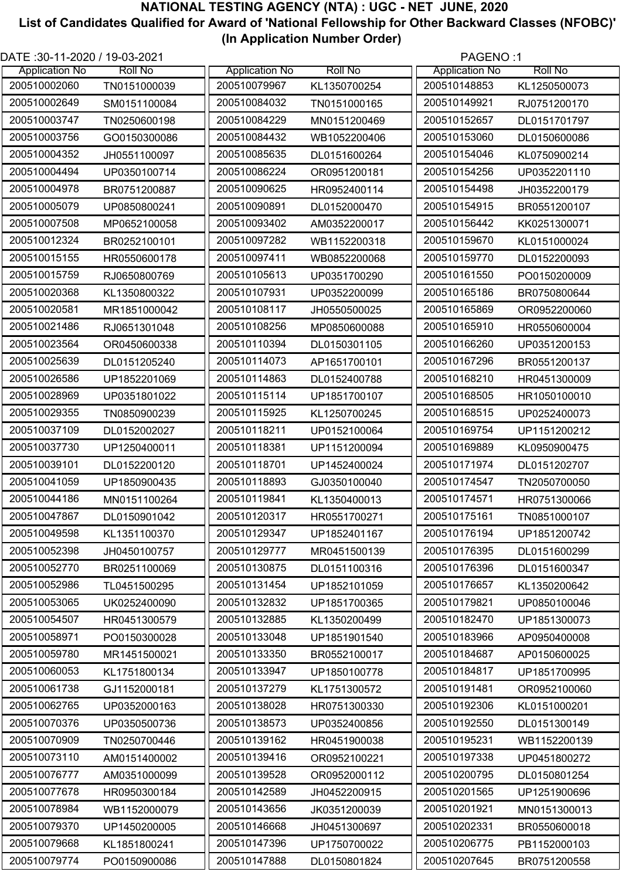| DATE: 30-11-2020 / 19-03-2021 |                |                       |                | PAGENO:1              |                |
|-------------------------------|----------------|-----------------------|----------------|-----------------------|----------------|
| <b>Application No</b>         | <b>Roll No</b> | <b>Application No</b> | <b>Roll No</b> | <b>Application No</b> | <b>Roll No</b> |
| 200510002060                  | TN0151000039   | 200510079967          | KL1350700254   | 200510148853          | KL1250500073   |
| 200510002649                  | SM0151100084   | 200510084032          | TN0151000165   | 200510149921          | RJ0751200170   |
| 200510003747                  | TN0250600198   | 200510084229          | MN0151200469   | 200510152657          | DL0151701797   |
| 200510003756                  | GO0150300086   | 200510084432          | WB1052200406   | 200510153060          | DL0150600086   |
| 200510004352                  | JH0551100097   | 200510085635          | DL0151600264   | 200510154046          | KL0750900214   |
| 200510004494                  | UP0350100714   | 200510086224          | OR0951200181   | 200510154256          | UP0352201110   |
| 200510004978                  | BR0751200887   | 200510090625          | HR0952400114   | 200510154498          | JH0352200179   |
| 200510005079                  | UP0850800241   | 200510090891          | DL0152000470   | 200510154915          | BR0551200107   |
| 200510007508                  | MP0652100058   | 200510093402          | AM0352200017   | 200510156442          | KK0251300071   |
| 200510012324                  | BR0252100101   | 200510097282          | WB1152200318   | 200510159670          | KL0151000024   |
| 200510015155                  | HR0550600178   | 200510097411          | WB0852200068   | 200510159770          | DL0152200093   |
| 200510015759                  | RJ0650800769   | 200510105613          | UP0351700290   | 200510161550          | PO0150200009   |
| 200510020368                  | KL1350800322   | 200510107931          | UP0352200099   | 200510165186          | BR0750800644   |
| 200510020581                  | MR1851000042   | 200510108117          | JH0550500025   | 200510165869          | OR0952200060   |
| 200510021486                  | RJ0651301048   | 200510108256          | MP0850600088   | 200510165910          | HR0550600004   |
| 200510023564                  | OR0450600338   | 200510110394          | DL0150301105   | 200510166260          | UP0351200153   |
| 200510025639                  | DL0151205240   | 200510114073          | AP1651700101   | 200510167296          | BR0551200137   |
| 200510026586                  | UP1852201069   | 200510114863          | DL0152400788   | 200510168210          | HR0451300009   |
| 200510028969                  | UP0351801022   | 200510115114          | UP1851700107   | 200510168505          | HR1050100010   |
| 200510029355                  | TN0850900239   | 200510115925          | KL1250700245   | 200510168515          | UP0252400073   |
| 200510037109                  | DL0152002027   | 200510118211          | UP0152100064   | 200510169754          | UP1151200212   |
| 200510037730                  | UP1250400011   | 200510118381          | UP1151200094   | 200510169889          | KL0950900475   |
| 200510039101                  | DL0152200120   | 200510118701          | UP1452400024   | 200510171974          | DL0151202707   |
| 200510041059                  | UP1850900435   | 200510118893          | GJ0350100040   | 200510174547          | TN2050700050   |
| 200510044186                  | MN0151100264   | 200510119841          | KL1350400013   | 200510174571          | HR0751300066   |
| 200510047867                  | DL0150901042   | 200510120317          | HR0551700271   | 200510175161          | TN0851000107   |
| 200510049598                  | KL1351100370   | 200510129347          | UP1852401167   | 200510176194          | UP1851200742   |
| 200510052398                  | JH0450100757   | 200510129777          | MR0451500139   | 200510176395          | DL0151600299   |
| 200510052770                  | BR0251100069   | 200510130875          | DL0151100316   | 200510176396          | DL0151600347   |
| 200510052986                  | TL0451500295   | 200510131454          | UP1852101059   | 200510176657          | KL1350200642   |
| 200510053065                  | UK0252400090   | 200510132832          | UP1851700365   | 200510179821          | UP0850100046   |
| 200510054507                  | HR0451300579   | 200510132885          | KL1350200499   | 200510182470          | UP1851300073   |
| 200510058971                  | PO0150300028   | 200510133048          | UP1851901540   | 200510183966          | AP0950400008   |
| 200510059780                  | MR1451500021   | 200510133350          | BR0552100017   | 200510184687          | AP0150600025   |
| 200510060053                  | KL1751800134   | 200510133947          | UP1850100778   | 200510184817          | UP1851700995   |
| 200510061738                  | GJ1152000181   | 200510137279          | KL1751300572   | 200510191481          | OR0952100060   |
| 200510062765                  | UP0352000163   | 200510138028          | HR0751300330   | 200510192306          | KL0151000201   |
| 200510070376                  | UP0350500736   | 200510138573          | UP0352400856   | 200510192550          | DL0151300149   |
| 200510070909                  | TN0250700446   | 200510139162          | HR0451900038   | 200510195231          | WB1152200139   |
| 200510073110                  | AM0151400002   | 200510139416          | OR0952100221   | 200510197338          | UP0451800272   |
| 200510076777                  | AM0351000099   | 200510139528          | OR0952000112   | 200510200795          | DL0150801254   |
| 200510077678                  | HR0950300184   | 200510142589          | JH0452200915   | 200510201565          | UP1251900696   |
| 200510078984                  | WB1152000079   | 200510143656          | JK0351200039   | 200510201921          | MN0151300013   |
| 200510079370                  | UP1450200005   | 200510146668          | JH0451300697   | 200510202331          | BR0550600018   |
| 200510079668                  | KL1851800241   | 200510147396          | UP1750700022   | 200510206775          | PB1152000103   |
| 200510079774                  | PO0150900086   | 200510147888          | DL0150801824   | 200510207645          | BR0751200558   |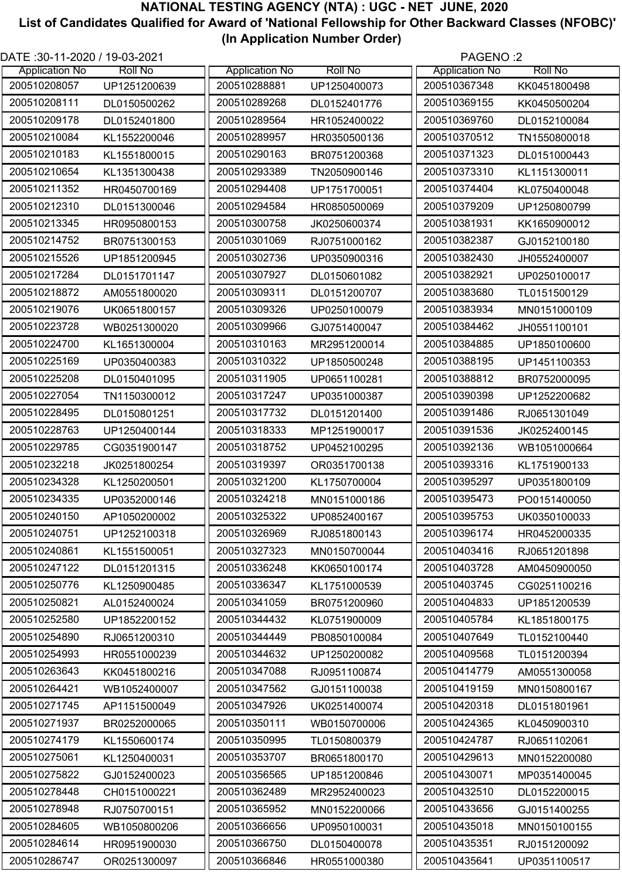| DATE :30-11-2020 / 19-03-2021 |                |                       |                | PAGENO:2              |                |
|-------------------------------|----------------|-----------------------|----------------|-----------------------|----------------|
| <b>Application No</b>         | <b>Roll No</b> | <b>Application No</b> | <b>Roll No</b> | <b>Application No</b> | <b>Roll No</b> |
| 200510208057                  | UP1251200639   | 200510288881          | UP1250400073   | 200510367348          | KK0451800498   |
| 200510208111                  | DL0150500262   | 200510289268          | DL0152401776   | 200510369155          | KK0450500204   |
| 200510209178                  | DL0152401800   | 200510289564          | HR1052400022   | 200510369760          | DL0152100084   |
| 200510210084                  | KL1552200046   | 200510289957          | HR0350500136   | 200510370512          | TN1550800018   |
| 200510210183                  | KL1551800015   | 200510290163          | BR0751200368   | 200510371323          | DL0151000443   |
| 200510210654                  | KL1351300438   | 200510293389          | TN2050900146   | 200510373310          | KL1151300011   |
| 200510211352                  | HR0450700169   | 200510294408          | UP1751700051   | 200510374404          | KL0750400048   |
| 200510212310                  | DL0151300046   | 200510294584          | HR0850500069   | 200510379209          | UP1250800799   |
| 200510213345                  | HR0950800153   | 200510300758          | JK0250600374   | 200510381931          | KK1650900012   |
| 200510214752                  | BR0751300153   | 200510301069          | RJ0751000162   | 200510382387          | GJ0152100180   |
| 200510215526                  | UP1851200945   | 200510302736          | UP0350900316   | 200510382430          | JH0552400007   |
| 200510217284                  | DL0151701147   | 200510307927          | DL0150601082   | 200510382921          | UP0250100017   |
| 200510218872                  | AM0551800020   | 200510309311          | DL0151200707   | 200510383680          | TL0151500129   |
| 200510219076                  | UK0651800157   | 200510309326          | UP0250100079   | 200510383934          | MN0151000109   |
| 200510223728                  | WB0251300020   | 200510309966          | GJ0751400047   | 200510384462          | JH0551100101   |
| 200510224700                  | KL1651300004   | 200510310163          | MR2951200014   | 200510384885          | UP1850100600   |
| 200510225169                  | UP0350400383   | 200510310322          | UP1850500248   | 200510388195          | UP1451100353   |
| 200510225208                  | DL0150401095   | 200510311905          | UP0651100281   | 200510388812          | BR0752000095   |
| 200510227054                  | TN1150300012   | 200510317247          | UP0351000387   | 200510390398          | UP1252200682   |
| 200510228495                  | DL0150801251   | 200510317732          | DL0151201400   | 200510391486          | RJ0651301049   |
| 200510228763                  | UP1250400144   | 200510318333          | MP1251900017   | 200510391536          | JK0252400145   |
| 200510229785                  | CG0351900147   | 200510318752          | UP0452100295   | 200510392136          | WB1051000664   |
| 200510232218                  | JK0251800254   | 200510319397          | OR0351700138   | 200510393316          | KL1751900133   |
| 200510234328                  | KL1250200501   | 200510321200          | KL1750700004   | 200510395297          | UP0351800109   |
| 200510234335                  | UP0352000146   | 200510324218          | MN0151000186   | 200510395473          | PO0151400050   |
| 200510240150                  | AP1050200002   | 200510325322          | UP0852400167   | 200510395753          | UK0350100033   |
| 200510240751                  | UP1252100318   | 200510326969          | RJ0851800143   | 200510396174          | HR0452000335   |
| 200510240861                  | KL1551500051   | 200510327323          | MN0150700044   | 200510403416          | RJ0651201898   |
| 200510247122                  | DL0151201315   | 200510336248          | KK0650100174   | 200510403728          | AM0450900050   |
| 200510250776                  | KL1250900485   | 200510336347          | KL1751000539   | 200510403745          | CG0251100216   |
| 200510250821                  | AL0152400024   | 200510341059          | BR0751200960   | 200510404833          | UP1851200539   |
| 200510252580                  | UP1852200152   | 200510344432          | KL0751900009   | 200510405784          | KL1851800175   |
| 200510254890                  | RJ0651200310   | 200510344449          | PB0850100084   | 200510407649          | TL0152100440   |
| 200510254993                  | HR0551000239   | 200510344632          | UP1250200082   | 200510409568          | TL0151200394   |
| 200510263643                  | KK0451800216   | 200510347088          | RJ0951100874   | 200510414779          | AM0551300058   |
| 200510264421                  | WB1052400007   | 200510347562          | GJ0151100038   | 200510419159          | MN0150800167   |
| 200510271745                  | AP1151500049   | 200510347926          | UK0251400074   | 200510420318          | DL0151801961   |
| 200510271937                  | BR0252000065   | 200510350111          | WB0150700006   | 200510424365          | KL0450900310   |
| 200510274179                  | KL1550600174   | 200510350995          | TL0150800379   | 200510424787          | RJ0651102061   |
| 200510275061                  | KL1250400031   | 200510353707          | BR0651800170   | 200510429613          | MN0152200080   |
| 200510275822                  | GJ0152400023   | 200510356565          | UP1851200846   | 200510430071          | MP0351400045   |
| 200510278448                  | CH0151000221   | 200510362489          | MR2952400023   | 200510432510          | DL0152200015   |
| 200510278948                  | RJ0750700151   | 200510365952          | MN0152200066   | 200510433656          | GJ0151400255   |
| 200510284605                  | WB1050800206   | 200510366656          | UP0950100031   | 200510435018          | MN0150100155   |
| 200510284614                  | HR0951900030   | 200510366750          | DL0150400078   | 200510435351          | RJ0151200092   |
| 200510286747                  | OR0251300097   | 200510366846          | HR0551000380   | 200510435641          | UP0351100517   |
|                               |                |                       |                |                       |                |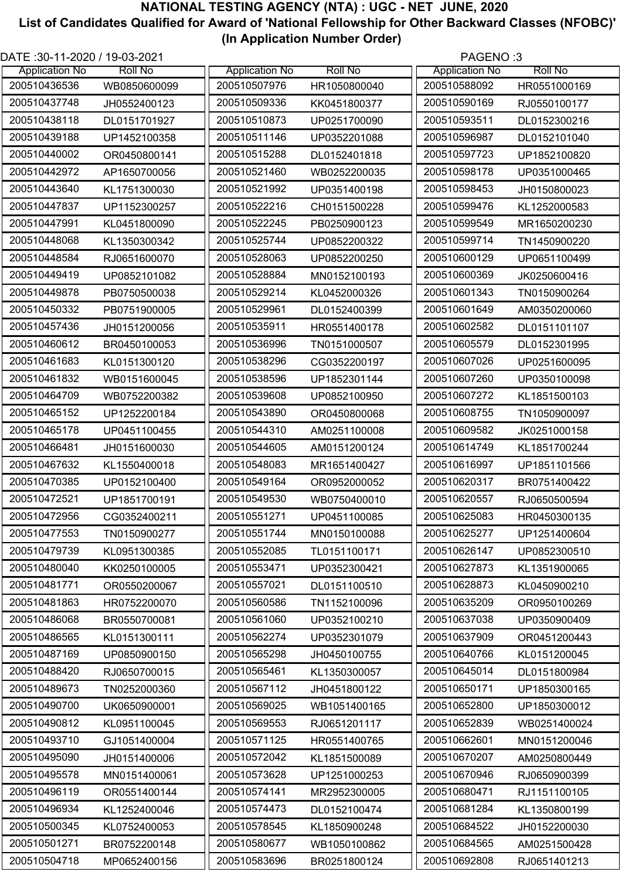| DATE :30-11-2020 / 19-03-2021 |                |                       |                | PAGENO:3              |                |
|-------------------------------|----------------|-----------------------|----------------|-----------------------|----------------|
| <b>Application No</b>         | <b>Roll No</b> | <b>Application No</b> | <b>Roll No</b> | <b>Application No</b> | <b>Roll No</b> |
| 200510436536                  | WB0850600099   | 200510507976          | HR1050800040   | 200510588092          | HR0551000169   |
| 200510437748                  | JH0552400123   | 200510509336          | KK0451800377   | 200510590169          | RJ0550100177   |
| 200510438118                  | DL0151701927   | 200510510873          | UP0251700090   | 200510593511          | DL0152300216   |
| 200510439188                  | UP1452100358   | 200510511146          | UP0352201088   | 200510596987          | DL0152101040   |
| 200510440002                  | OR0450800141   | 200510515288          | DL0152401818   | 200510597723          | UP1852100820   |
| 200510442972                  | AP1650700056   | 200510521460          | WB0252200035   | 200510598178          | UP0351000465   |
| 200510443640                  | KL1751300030   | 200510521992          | UP0351400198   | 200510598453          | JH0150800023   |
| 200510447837                  | UP1152300257   | 200510522216          | CH0151500228   | 200510599476          | KL1252000583   |
| 200510447991                  | KL0451800090   | 200510522245          | PB0250900123   | 200510599549          | MR1650200230   |
| 200510448068                  | KL1350300342   | 200510525744          | UP0852200322   | 200510599714          | TN1450900220   |
| 200510448584                  | RJ0651600070   | 200510528063          | UP0852200250   | 200510600129          | UP0651100499   |
| 200510449419                  | UP0852101082   | 200510528884          | MN0152100193   | 200510600369          | JK0250600416   |
| 200510449878                  | PB0750500038   | 200510529214          | KL0452000326   | 200510601343          | TN0150900264   |
| 200510450332                  | PB0751900005   | 200510529961          | DL0152400399   | 200510601649          | AM0350200060   |
| 200510457436                  | JH0151200056   | 200510535911          | HR0551400178   | 200510602582          | DL0151101107   |
| 200510460612                  | BR0450100053   | 200510536996          | TN0151000507   | 200510605579          | DL0152301995   |
| 200510461683                  | KL0151300120   | 200510538296          | CG0352200197   | 200510607026          | UP0251600095   |
| 200510461832                  | WB0151600045   | 200510538596          | UP1852301144   | 200510607260          | UP0350100098   |
| 200510464709                  | WB0752200382   | 200510539608          | UP0852100950   | 200510607272          | KL1851500103   |
| 200510465152                  | UP1252200184   | 200510543890          | OR0450800068   | 200510608755          | TN1050900097   |
| 200510465178                  | UP0451100455   | 200510544310          | AM0251100008   | 200510609582          | JK0251000158   |
| 200510466481                  | JH0151600030   | 200510544605          | AM0151200124   | 200510614749          | KL1851700244   |
| 200510467632                  | KL1550400018   | 200510548083          | MR1651400427   | 200510616997          | UP1851101566   |
| 200510470385                  | UP0152100400   | 200510549164          | OR0952000052   | 200510620317          | BR0751400422   |
| 200510472521                  | UP1851700191   | 200510549530          | WB0750400010   | 200510620557          | RJ0650500594   |
| 200510472956                  | CG0352400211   | 200510551271          | UP0451100085   | 200510625083          | HR0450300135   |
| 200510477553                  | TN0150900277   | 200510551744          | MN0150100088   | 200510625277          | UP1251400604   |
| 200510479739                  | KL0951300385   | 200510552085          | TL0151100171   | 200510626147          | UP0852300510   |
| 200510480040                  | KK0250100005   | 200510553471          | UP0352300421   | 200510627873          | KL1351900065   |
| 200510481771                  | OR0550200067   | 200510557021          | DL0151100510   | 200510628873          | KL0450900210   |
| 200510481863                  | HR0752200070   | 200510560586          | TN1152100096   | 200510635209          | OR0950100269   |
| 200510486068                  | BR0550700081   | 200510561060          | UP0352100210   | 200510637038          | UP0350900409   |
| 200510486565                  | KL0151300111   | 200510562274          | UP0352301079   | 200510637909          | OR0451200443   |
| 200510487169                  | UP0850900150   | 200510565298          | JH0450100755   | 200510640766          | KL0151200045   |
| 200510488420                  | RJ0650700015   | 200510565461          | KL1350300057   | 200510645014          | DL0151800984   |
| 200510489673                  | TN0252000360   | 200510567112          | JH0451800122   | 200510650171          | UP1850300165   |
| 200510490700                  | UK0650900001   | 200510569025          | WB1051400165   | 200510652800          | UP1850300012   |
| 200510490812                  | KL0951100045   | 200510569553          | RJ0651201117   | 200510652839          | WB0251400024   |
| 200510493710                  | GJ1051400004   | 200510571125          |                | 200510662601          |                |
| 200510495090                  |                | 200510572042          | HR0551400765   | 200510670207          | MN0151200046   |
|                               | JH0151400006   |                       | KL1851500089   |                       | AM0250800449   |
| 200510495578                  | MN0151400061   | 200510573628          | UP1251000253   | 200510670946          | RJ0650900399   |
| 200510496119                  | OR0551400144   | 200510574141          | MR2952300005   | 200510680471          | RJ1151100105   |
| 200510496934                  | KL1252400046   | 200510574473          | DL0152100474   | 200510681284          | KL1350800199   |
| 200510500345                  | KL0752400053   | 200510578545          | KL1850900248   | 200510684522          | JH0152200030   |
| 200510501271                  | BR0752200148   | 200510580677          | WB1050100862   | 200510684565          | AM0251500428   |
| 200510504718                  | MP0652400156   | 200510583696          | BR0251800124   | 200510692808          | RJ0651401213   |